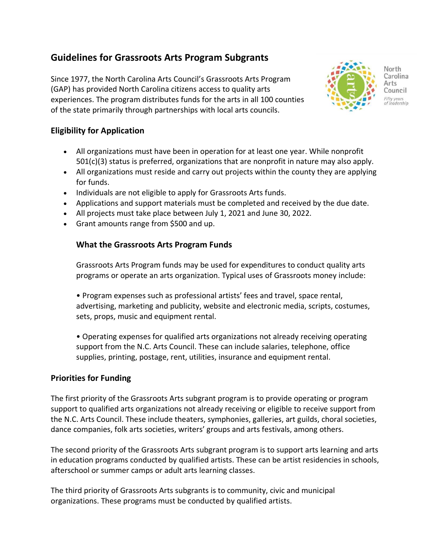# **Guidelines for Grassroots Arts Program Subgrants**

Since 1977, the North Carolina Arts Council's Grassroots Arts Program (GAP) has provided North Carolina citizens access to quality arts experiences. The program distributes funds for the arts in all 100 counties of the state primarily through partnerships with local arts councils.



North Carolina Arts Council .<br>Fifty years<br>of leadership

## **Eligibility for Application**

- All organizations must have been in operation for at least one year. While nonprofit 501(c)(3) status is preferred, organizations that are nonprofit in nature may also apply.
- All organizations must reside and carry out projects within the county they are applying for funds.
- Individuals are not eligible to apply for Grassroots Arts funds.
- Applications and support materials must be completed and received by the due date.
- All projects must take place between July 1, 2021 and June 30, 2022.
- Grant amounts range from \$500 and up.

# **What the Grassroots Arts Program Funds**

Grassroots Arts Program funds may be used for expenditures to conduct quality arts programs or operate an arts organization. Typical uses of Grassroots money include:

• Program expenses such as professional artists' fees and travel, space rental, advertising, marketing and publicity, website and electronic media, scripts, costumes, sets, props, music and equipment rental.

• Operating expenses for qualified arts organizations not already receiving operating support from the N.C. Arts Council. These can include salaries, telephone, office supplies, printing, postage, rent, utilities, insurance and equipment rental.

#### **Priorities for Funding**

The first priority of the Grassroots Arts subgrant program is to provide operating or program support to qualified arts organizations not already receiving or eligible to receive support from the N.C. Arts Council. These include theaters, symphonies, galleries, art guilds, choral societies, dance companies, folk arts societies, writers' groups and arts festivals, among others.

The second priority of the Grassroots Arts subgrant program is to support arts learning and arts in education programs conducted by qualified artists. These can be artist residencies in schools, afterschool or summer camps or adult arts learning classes.

The third priority of Grassroots Arts subgrants is to community, civic and municipal organizations. These programs must be conducted by qualified artists.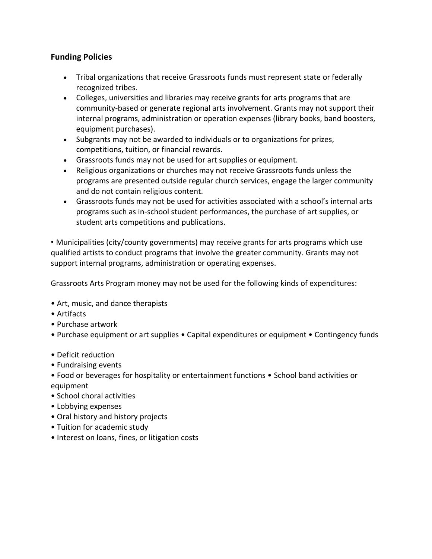#### **Funding Policies**

- Tribal organizations that receive Grassroots funds must represent state or federally recognized tribes.
- Colleges, universities and libraries may receive grants for arts programs that are community-based or generate regional arts involvement. Grants may not support their internal programs, administration or operation expenses (library books, band boosters, equipment purchases).
- Subgrants may not be awarded to individuals or to organizations for prizes, competitions, tuition, or financial rewards.
- Grassroots funds may not be used for art supplies or equipment.
- Religious organizations or churches may not receive Grassroots funds unless the programs are presented outside regular church services, engage the larger community and do not contain religious content.
- Grassroots funds may not be used for activities associated with a school's internal arts programs such as in-school student performances, the purchase of art supplies, or student arts competitions and publications.

• Municipalities (city/county governments) may receive grants for arts programs which use qualified artists to conduct programs that involve the greater community. Grants may not support internal programs, administration or operating expenses.

Grassroots Arts Program money may not be used for the following kinds of expenditures:

- Art, music, and dance therapists
- Artifacts
- Purchase artwork
- Purchase equipment or art supplies Capital expenditures or equipment Contingency funds
- Deficit reduction
- Fundraising events
- Food or beverages for hospitality or entertainment functions School band activities or equipment
- School choral activities
- Lobbying expenses
- Oral history and history projects
- Tuition for academic study
- Interest on loans, fines, or litigation costs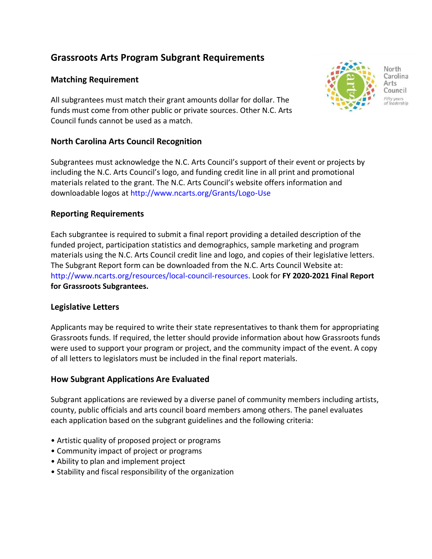# **Grassroots Arts Program Subgrant Requirements**

## **Matching Requirement**

All subgrantees must match their grant amounts dollar for dollar. The funds must come from other public or private sources. Other N.C. Arts Council funds cannot be used as a match.

## **North Carolina Arts Council Recognition**

Subgrantees must acknowledge the N.C. Arts Council's support of their event or projects by including the N.C. Arts Council's logo, and funding credit line in all print and promotional materials related to the grant. The N.C. Arts Council's website offers information and downloadable logos at http://www.ncarts.org/Grants/Logo-Use

## **Reporting Requirements**

Each subgrantee is required to submit a final report providing a detailed description of the funded project, participation statistics and demographics, sample marketing and program materials using the N.C. Arts Council credit line and logo, and copies of their legislative letters. The Subgrant Report form can be downloaded from the N.C. Arts Council Website at: http://www.ncarts.org/resources/local-council-resources. Look for **FY 2020-2021 Final Report for Grassroots Subgrantees.** 

#### **Legislative Letters**

Applicants may be required to write their state representatives to thank them for appropriating Grassroots funds. If required, the letter should provide information about how Grassroots funds were used to support your program or project, and the community impact of the event. A copy of all letters to legislators must be included in the final report materials.

#### **How Subgrant Applications Are Evaluated**

Subgrant applications are reviewed by a diverse panel of community members including artists, county, public officials and arts council board members among others. The panel evaluates each application based on the subgrant guidelines and the following criteria:

- Artistic quality of proposed project or programs
- Community impact of project or programs
- Ability to plan and implement project
- Stability and fiscal responsibility of the organization



North Carolina Arts Council .<br>Fifty years<br>of leadership